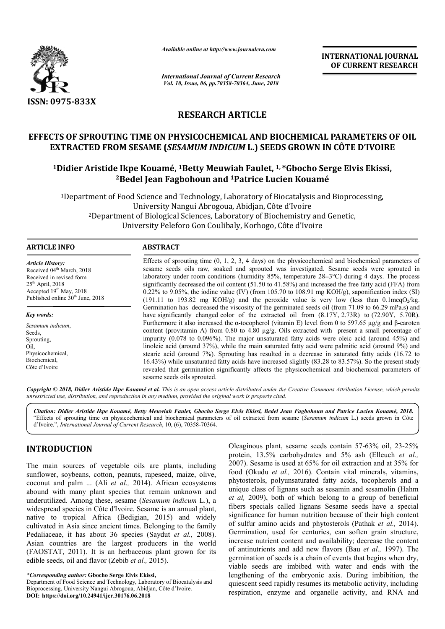

*Available online at http://www.journalcra.com*

*International Journal of Current Research Vol. 10, Issue, 06, pp.70358-70364, June, 2018*

**INTERNATIONAL JOURNAL OF CURRENT RESEARCH**

# **RESEARCH ARTICLE**

# **EFFECTS OF SPROUTING TIME ON PHYSICOCHEMICAL AND BIOCHEMICAL PARAMETERS OF OIL EXTRACTED FROM SESAME (** *SESAMUM INDICUM* **L.) SEEDS GROWN IN CÔTE D'IVOIRE**

# EXTRACTED FROM SESAME (*SESAMUM INDICUM* L.) SEEDS GROWN IN CÔTE D'IVOIRE<br><sup>1</sup>Didier Aristide Ikpe Kouamé, <sup>1</sup>Betty Meuwiah Faulet, <sup>1, \*</sup>Gbocho Serge Elvis Ekissi, **2Bedel Jean Fagbohoun and Bedel 1Patrice Lucien Kouamé Patrice**

<sup>1</sup>Department of Food Science and Technology, Laboratory of Biocatalysis and Bioprocessing,<br>University Nangui Abrogoua, Abidjan, Côte d'Ivoire<br><sup>2</sup>Department of Biological Sciences, Laboratory of Biochemistry and Genetic, University Nangui Abrogoua, Abidjan, Côte d'Ivoire 2Department of Biological Sciences, Laboratory of Biochemistry and Genetic, University Peleforo Gon Coulibaly, Korhogo, Côte d'Ivoire

#### **ARTICLE INFO ABSTRACT**

*Article History:* Received 04<sup>th</sup> March, 2018 Received in revised form 25th April, 2018 Accepted 19th May, 2018 Published online  $30<sup>th</sup>$  June, 2018

*Key words:*

*Sesamum indicum*, Seeds, Sprouting, Oil, Physicochemical, Biochemical, Côte d'Ivoire

Effects of sprouting time (0, 1, 2, 3, 4 days) on the physicochemical and biochemical parameters of sesame seeds oils raw, soaked and sprouted was investigated. Sesame seeds were sprouted in laboratory under room conditions (humidity 85%, temperature  $28\pm3^{\circ}\text{C}$ ) during 4 days. The process significantly decreased the oil content (51.50 to 41.58%) and increased the free fatty acid (FFA) from 0.22% to 9.05%, the iodine value (IV) (from 105.70 to 108.91 mg KOH/g), saponification index (SI) (191.11 to 193.82 mg KOH/g) and the peroxide value is very low (less than  $0.1 \text{meqO}_2/\text{kg}$ ). Germination has decreased the viscosity of the germinated seeds oil (from 71.09 to 66.29 mPa.s) and have significantly changed color of the extracted oil from  $(8.17Y, 2.73R)$  to  $(72.90Y, 5.70R)$ . Furthermore it also increased the α-tocopherol (vitamin E) level from 0 to 597.65  $\mu$ g/g and β content (provitamin A) from 0.80 to 4.80 µg/g. Oils extracted with present a small percentage of content (provitamin A) from 0.80 to 4.80  $\mu$ g/g. Oils extracted with present a small percentage of impurity (0.078 to 0.096%). The major unsaturated fatty acids were oleic acid (around 45%) and linoleic acid (around 37%), while the main saturated fatty acid were palmitic acid (around 9%) and stearic acid (around 7%). Sprouting has resulted in a decrease in saturated fatty acids (16.72 to 16.43%) while unsaturated fatty acids have increased slightly (83.28 to 83.57%). So the present study revealed that germination significantly affects the physicochemical and biochemical parameters of sesame seeds oils sprouted. Effects of sprouting time (0, 1, 2, 3, 4 days) on the physicochemical and biochemical parameters of sesame seeds oils raw, soaked and sprouted was investigated. Sesame seeds were sprouted in laboratory under room conditio Germination has decreased the viscosity of the germinated seeds oil (from 71.09 to 66.29 mPa.s) and have significantly changed color of the extracted oil from  $(8.17Y, 2.73R)$  to  $(72.90Y, 5.70R)$ . Furthermore it also inc linoleic acid (around 37%), while the main saturated fatty acid were palmitic acid (around 9%) a stearic acid (around 7%). Sprouting has resulted in a decrease in saturated fatty acids (16.72 16.43%) while unsaturated fat

Copyright © 2018, Didier Aristide Ikpe Kouamé et al. This is an open access article distributed under the Creative Commons Attribution License, which permits *unrestricted use, distribution, and reproduction in any medium, provided the original work is properly cited.*

*Citation: Didier Aristide Ikpe Kouamé, Betty Meuwiah Faulet, Gbocho Serge Elvis Ekissi, Bedel Jean Fagbohoun and Patrice Lucien Kouamé Gbocho Elvis Fagbohoun Patrice Kouamé, 2018.* "Effects of sprouting time on physicochemical and biochemical parameters of oil extracted from sesame (Sesamum indicum L.) seeds grown in Côte d'Ivoire.", *International Journal of Current Research* , 10, (6), 70358-70364.

# **INTRODUCTION**

The main sources of vegetable oils are plants, including sunflower, soybeans, cotton, peanuts, rapeseed, maize, olive, coconut and palm ... (Ali *et al.,* 2014). African ecosystems abound with many plant species that remain unknown and underutilized. Among these, sesame (*Sesamum indicum* L.), a widespread species in Côte d'Ivoire. Sesame is an annual plant, native to tropical Africa (Bedigian, 2015 2015) and widely cultivated in Asia since ancient times. Belonging to the family Pedaliaceae, it has about 36 species (Saydut et al., 2008). Asian countries are the largest producers in the world (FAOSTAT, 2011). It is an herbaceous plant grown for its edible seeds, oil and flavor (Zebib *et al.,* 2015 2015).

*\*Corresponding author:* **Gbocho Serge Elvis Ekissi,**  Department of Food Science and Technology, Laboratory of Biocatalysis and Bioprocessing, University Nangui Abrogoua, Abidjan, Côte d'Ivoire d'Ivoire. **DOI: https://doi.org/10.24941/ijcr.30176.06.2018**

Oleaginous plant, sesame seeds contain 57-63% oil, 23-25% protein, 13.5% carbohydrates and 5% ash (Elleuch *et al.,*  2007). Sesame is used at 65% for oil extraction and at 35% for 2007). Sesame is used at 65% for oil extraction and at 35% for food (Okudu *et al.*, 2016). Contain vital minerals, vitamins, phytosterols, polyunsaturated fatty acids, tocopherols and a phytosterols, polyunsaturated fatty acids, tocopherols and a unique class of lignans such as sesamin and sesamolin (Hahm *et al,* 2009), both of which belong to a group of beneficial fibers specials called lignans Sesame seeds have a special significance for human nutrition because of their high content of sulfur amino acids and phytosterols (Pathak et al., 2014). Germination, used for centuries, can soften grain structure, increase nutrient content and availability; decrease the content of antinutrients and add new flavors (Bau et al., 1997). The germination of seeds is a chain of events that begins when dry, germination of seeds is a chain of events that begins when dry, viable seeds are imbibed with water and ends with the lengthening of the embryonic axis. During imbibition, the quiescent seed rapidly resumes its metabolic activity, including respiration, enzyme and organelle activity, and RNA and which belong to a group of beneficial lignans Sesame seeds have a special nutrition because of their high content and phytosterols (Pathak *et al.,* 2014). the remainstian and availability; decrease the content antinutrients and add new flavors (Bau *et al.*, 1997). The INTERNATIONAL JOURNAL<br>
2018<br>
2018<br>
2018<br>
2018<br>
2018<br>
2018<br>
2018<br>
2018<br>
2018<br>
2018<br>
2018<br>
2018<br>
2018<br>
2018<br>
2018<br>
2018<br>
2018<br>
2018<br>
2018<br>
2018<br>
2028<br>
2020<br>
2020<br>
2020<br>
2020 CROWININ COTE D'IVOIRE<br>
2020<br>
2020<br>
2020<br>
5020 CR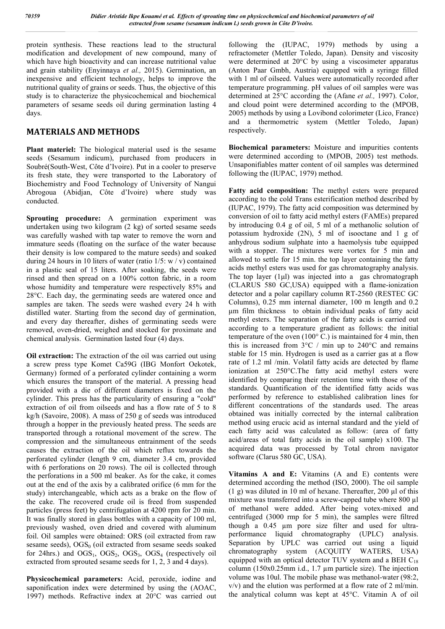protein synthesis. These reactions lead to the structural modification and development of new compound, many of which have high bioactivity and can increase nutritional value and grain stability (Enyinnaya *et al.,* 2015). Germination, an inexpensive and efficient technology, helps to improve the nutritional quality of grains or seeds. Thus, the objective of this study is to characterize the physicochemical and biochemical parameters of sesame seeds oil during germination lasting 4 days.

# **MATERIALS AND METHODS**

**Plant materiel:** The biological material used is the sesame seeds (Sesamum indicum), purchased from producers in Soubré(South-West, Côte d'Ivoire). Put in a cooler to preserve its fresh state, they were transported to the Laboratory of Biochemistry and Food Technology of University of Nangui Abrogoua (Abidjan, Côte d'Ivoire) where study was conducted.

**Sprouting procedure:** A germination experiment was undertaken using two kilogram (2 kg) of sorted sesame seeds was carefully washed with tap water to remove the worn and immature seeds (floating on the surface of the water because their density is low compared to the mature seeds) and soaked during 24 hours in 10 liters of water (ratio  $1/5$ : w / v) contained in a plastic seal of 15 liters. After soaking, the seeds were rinsed and then spread on a 100% cotton fabric, in a room whose humidity and temperature were respectively 85% and 28°C. Each day, the germinating seeds are watered once and samples are taken. The seeds were washed every 24 h with distilled water. Starting from the second day of germination, and every day thereafter, dishes of germinating seeds were removed, oven-dried, weighed and stocked for proximate and chemical analysis. Germination lasted four (4) days.

**Oil extraction:** The extraction of the oil was carried out using a screw press type Komet Ca59G (IBG Monfort Oekotek, Germany) formed of a perforated cylinder containing a worm which ensures the transport of the material. A pressing head provided with a die of different diameters is fixed on the cylinder. This press has the particularity of ensuring a "cold" extraction of oil from oilseeds and has a flow rate of 5 to 8 kg/h (Savoire, 2008). A mass of 250 g of seeds was introduced through a hopper in the previously heated press. The seeds are transported through a rotational movement of the screw. The compression and the simultaneous entrainment of the seeds causes the extraction of the oil which reflux towards the perforated cylinder (length 9 cm, diameter 3.4 cm, provided with 6 perforations on 20 rows). The oil is collected through the perforations in a 500 ml beaker. As for the cake, it comes out at the end of the axis by a calibrated orifice (6 mm for the study) interchangeable, which acts as a brake on the flow of the cake. The recovered crude oil is freed from suspended particles (press feet) by centrifugation at 4200 rpm for 20 min. It was finally stored in glass bottles with a capacity of 100 ml, previously washed, oven dried and covered with aluminum foil. Oil samples were obtained: ORS (oil extracted from raw sesame seeds),  $OGS<sub>0</sub>$  (oil extracted from sesame seeds soaked for 24hrs.) and  $OGS<sub>1</sub>$ ,  $OGS<sub>2</sub>$ ,  $OGS<sub>3</sub>$ ,  $OGS<sub>4</sub>$  (respectively oil extracted from sprouted sesame seeds for 1, 2, 3 and 4 days).

**Physicochemical parameters:** Acid, peroxide, iodine and saponification index were determined by using the (AOAC, 1997) methods. Refractive index at 20°C was carried out

following the (IUPAC, 1979) methods by using a refractometer (Mettler Toledo, Japan). Density and viscosity were determined at 20°C by using a viscosimeter apparatus (Anton Paar Gmbh, Austria) equipped with a syringe filled with 1 ml of oilseed. Values were automatically recorded after temperature programming. pH values of oil samples were was determined at 25°C according the (Afane *et al.,* 1997). Color, and cloud point were determined according to the (MPOB, 2005) methods by using a Lovibond colorimeter (Lico, France) and a thermometric system (Mettler Toledo, Japan) respectively.

**Biochemical parameters:** Moisture and impurities contents were determined according to (MPOB, 2005) test methods. Unsaponifiables matter content of oil samples was determined following the (IUPAC, 1979) method.

**Fatty acid composition:** The methyl esters were prepared according to the cold Trans esterification method described by (IUPAC, 1979). The fatty acid composition was determined by conversion of oil to fatty acid methyl esters (FAMEs) prepared by introducing 0.4 g of oil, 5 ml of a methanolic solution of potassium hydroxide (2N), 5 ml of isooctane and 1 g of anhydrous sodium sulphate into a haemolysis tube equipped with a stopper. The mixtures were vortex for 5 min and allowed to settle for 15 min. the top layer containing the fatty acids methyl esters was used for gas chromatography analysis. The top layer  $(1\mu l)$  was injected into a gas chromatograph (CLARUS 580 GC,USA) equipped with a flame-ionization detector and a polar capillary column RT-2560 (RESTEC GC Columns), 0.25 mm internal diameter, 100 m length and 0.2 μm film thickness to obtain individual peaks of fatty acid methyl esters. The separation of the fatty acids is carried out according to a temperature gradient as follows: the initial temperature of the oven (100° C.) is maintained for 4 min, then this is increased from  $3^{\circ}$ C / min up to  $240^{\circ}$ C and remains stable for 15 min. Hydrogen is used as a carrier gas at a flow rate of 1.2 ml /min. Volatil fatty acids are detected by flame ionization at 250°C.The fatty acid methyl esters were identified by comparing their retention time with those of the standards. Quantification of the identified fatty acids was performed by reference to established calibration lines for different concentrations of the standards used. The areas obtained was initially corrected by the internal calibration method using erucic acid as internal standard and the yield of each fatty acid was calculated as follow: (area of fatty acid/areas of total fatty acids in the oil sample) x100. The acquired data was processed by Total chrom navigator software (Clarus 580 GC, USA).

**Vitamins A and E:** Vitamins (A and E) contents were determined according the method (ISO, 2000). The oil sample (1 g) was diluted in 10 ml of hexane. Thereafter, 200 µl of this mixture was transferred into a screw-capped tube where 800  $\mu$ l of methanol were added. After being votex-mixed and centrifuged (3000 rmp for 5 min), the samples were filtred though a 0.45 µm pore size filter and used for ultraperformance liquid chromatography (UPLC) analysis. Separation by UPLC was carried out using a liquid chromatography system (ACQUITY WATERS, USA) equipped with an optical detector TUV system and a BEH  $C_{18}$ column (150x0.25mm i.d., 1.7 µm particle size). The injection volume was 10ul. The mobile phase was methanol-water (98:2, v/v) and the elution was performed at a flow rate of 2 ml/min. the analytical column was kept at 45°C. Vitamin A of oil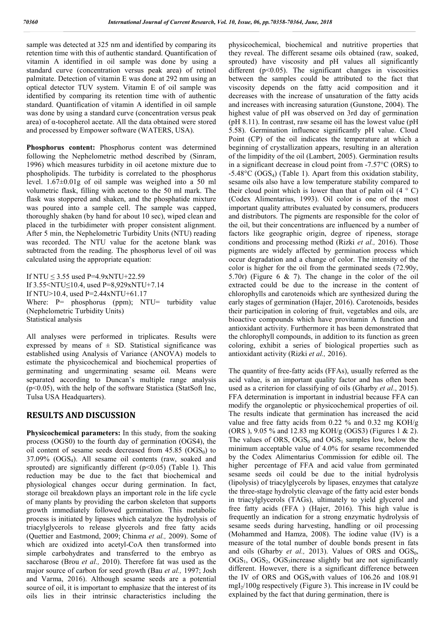sample was detected at 325 nm and identified by comparing its retention time with this of authentic standard. Quantification of vitamin A identified in oil sample was done by using a standard curve (concentration versus peak area) of retinol palmitate. Detection of vitamin E was done at 292 nm using an optical detector TUV system. Vitamin E of oil sample was identified by comparing its retention time with of authentic standard. Quantification of vitamin A identified in oil sample was done by using a standard curve (concentration versus peak area) of α-tocopherol acetate. All the data obtained were stored and processed by Empower software (WATERS, USA).

**Phosphorus content:** Phosphorus content was determined following the Nephelometric method described by (Sinram, 1996) which measures turbidity in oil acetone mixture due to phospholipids. The turbidity is correlated to the phosphorus level. 1.67±0.01g of oil sample was weighed into a 50 ml volumetric flask, filling with acetone to the 50 ml mark. The flask was stoppered and shaken, and the phosphatide mixture was poured into a sample cell. The sample was capped, thoroughly shaken (by hand for about 10 sec), wiped clean and placed in the turbidimeter with proper consistent alignment. After 5 min, the Nephelometric Turbidity Units (NTU) reading was recorded. The NTU value for the acetone blank was subtracted from the reading. The phosphorus level of oil was calculated using the appropriate equation:

If NTU  $\leq$  3.55 used P=4.9xNTU+22.59 If 3.55<NTU≤10.4, used P=8,929xNTU+7.14 If NTU>10.4, used P=2.44xNTU+61.17 Where: P= phosphorus (ppm); NTU= turbidity value (Nephelometric Turbidity Units) Statistical analysis

All analyses were performed in triplicates. Results were expressed by means of  $\pm$  SD. Statistical significance was established using Analysis of Variance (ANOVA) models to estimate the physicochemical and biochemical properties of germinating and ungerminating sesame oil. Means were separated according to Duncan's multiple range analysis (p<0.05), with the help of the software Statistica (StatSoft Inc, Tulsa USA Headquarters).

#### **RESULTS AND DISCUSSION**

**Physicochemical parameters:** In this study, from the soaking process (OGS0) to the fourth day of germination (OGS4), the oil content of sesame seeds decreased from  $45.85$  (OGS<sub>0</sub>) to  $37.09\%$  (OGS<sub>4</sub>). All sesame oil contents (raw, soaked and sprouted) are significantly different ( $p<0.05$ ) (Table 1). This reduction may be due to the fact that biochemical and physiological changes occur during germination. In fact, storage oil breakdown plays an important role in the life cycle of many plants by providing the carbon skeleton that supports growth immediately followed germination. This metabolic process is initiated by lipases which catalyze the hydrolysis of triacylglycerols to release glycerols and free fatty acids (Quettier and Eastmond, 2009; Chinma *et al.,* 2009). Some of which are oxidized into acetyl-CoA then transformed into simple carbohydrates and transferred to the embryo as saccharose (Brou *et al.,* 2010). Therefore fat was used as the major source of carbon for seed growth (Bau *et al.,* 1997; Josh and Varma, 2016). Although sesame seeds are a potential source of oil, it is important to emphasize that the interest of its oils lies in their intrinsic characteristics including the

physicochemical, biochemical and nutritive properties that they reveal. The different sesame oils obtained (raw, soaked, sprouted) have viscosity and pH values all significantly different  $(p<0.05)$ . The significant changes in viscosities between the samples could be attributed to the fact that viscosity depends on the fatty acid composition and it decreases with the increase of unsaturation of the fatty acids and increases with increasing saturation (Gunstone, 2004). The highest value of pH was observed on 3rd day of germination (pH 8.11). In contrast, raw sesame oil has the lowest value (pH 5.58). Germination influence significantly pH value. Cloud Point (CP) of the oil indicates the temperature at which a beginning of crystallization appears, resulting in an alteration of the limpidity of the oil (Lambert, 2005). Germination results in a significant decrease in cloud point from -7.57°C (ORS) to -5.48°C (OGS4) (Table 1). Apart from this oxidation stability, sesame oils also have a low temperature stability compared to their cloud point which is lower than that of palm oil  $(4 \circ C)$ (Codex Alimentarius, 1993). Oil color is one of the most important quality attributes evaluated by consumers, producers and distributors. The pigments are responsible for the color of the oil, but their concentrations are influenced by a number of factors like geographic origin, degree of ripeness, storage conditions and processing method (Rizki *et al.,* 2016). Those pigments are widely affected by germination process which occur degradation and a change of color. The intensity of the color is higher for the oil from the germinated seeds (72.90y, 5.70r) (Figure 6 & 7). The change in the color of the oil extracted could be due to the increase in the content of chlorophylls and carotenoids which are synthesized during the early stages of germination (Hajer, 2016). Carotenoids, besides their participation in coloring of fruit, vegetables and oils, are bioactive compounds which have provitamin A function and antioxidant activity. Furthermore it has been demonstrated that the chlorophyll compounds, in addition to its function as green coloring, exhibit a series of biological properties such as antioxidant activity (Rizki *et al.,* 2016).

The quantity of free-fatty acids (FFAs), usually referred as the acid value, is an important quality factor and has often been used as a criterion for classifying of oils (Gharby *et al*., 2015). FFA determination is important in industrial because FFA can modify the organoleptic or physicochemical properties of oil. The results indicate that germination has increased the acid value and free fatty acids from 0.22 % and 0.32 mg KOH/g (ORS ), 9.05 % and 12.83 mg KOH/g (OGS3) (Figures 1 & 2). The values of ORS,  $OGS_0$  and  $OGS_1$  samples low, below the minimum acceptable value of 4.0% for sesame recommended by the Codex Alimentarius Commission for edible oil. The higher percentage of FFA and acid value from germinated sesame seeds oil could be due to the initial hydrolysis (lipolysis) of triacylglycerols by lipases, enzymes that catalyze the three-stage hydrolytic cleavage of the fatty acid ester bonds in triacylglycerols (TAGs), ultimately to yield glycerol and free fatty acids (FFA ) (Hajer, 2016). This high value is frequently an indication for a strong enzymatic hydrolysis of sesame seeds during harvesting, handling or oil processing (Mohammed and Hamza, 2008). The iodine value (IV) is a measure of the total number of double bonds present in fats and oils (Gharby *et al.*, 2013). Values of ORS and  $OGS<sub>0</sub>$ ,  $OGS<sub>1</sub>$ ,  $OGS<sub>2</sub>$ ,  $OGS<sub>3</sub>$  increase slightly but are not significantly different. However, there is a significant difference between the IV of ORS and OGS<sub>4</sub>with values of 106.26 and 108.91  $mgI<sub>2</sub>/100g$  respectively (Figure 3). This increase in IV could be explained by the fact that during germination, there is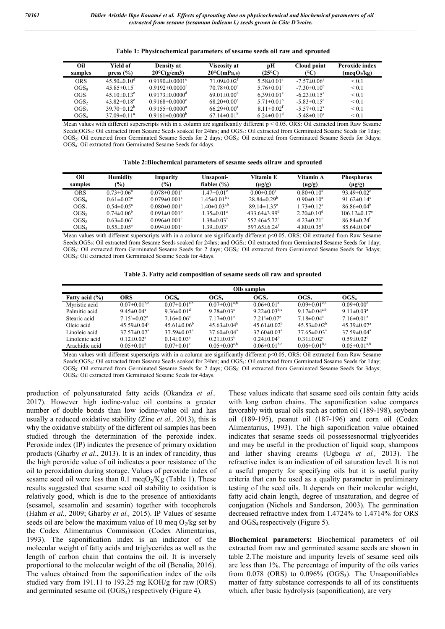| Oil              | <b>Yield of</b>               | Density at                       | <b>Viscosity at</b>           | рH                           | Cloud point            | Peroxide index          |
|------------------|-------------------------------|----------------------------------|-------------------------------|------------------------------|------------------------|-------------------------|
| samples          | press $(\% )$                 | $20^{\circ}$ C(g/cm3)            | $20^{\circ}$ C(mPa,s)         | $(25^{\circ}C)$              | (°C)                   | (meqO <sub>2</sub> /kg) |
| <b>ORS</b>       | $45.50\pm0.10^{\rm d}$        | $0.9190 \pm 0.0001$ <sup>e</sup> | $71.09 \pm 0.02$ <sup>f</sup> | $5.58 \pm 0.01^a$            | $-7.57\pm0.06^a$       | ${}_{0.1}$              |
| $\mathrm{OGS}_0$ | $45.85\pm0.15^t$              | $0.9192 \pm 0.0000$ <sup>t</sup> | $70.78 \pm 0.00^{\circ}$      | $5.76 \pm 0.01$ °            | $-7.30\pm0.10^{b}$     | ${}_{0.1}$              |
| OGS <sub>1</sub> | $45.10\pm0.13^e$              | $0.9173 \pm 0.0000$ <sup>d</sup> | $69.01 \pm 0.00$ <sup>d</sup> | $6.39 \pm 0.01$ <sup>e</sup> | $-6.23\pm0.15^{\circ}$ | ${}_{0.1}$              |
| OGS <sub>2</sub> | 43.82 $\pm$ 0.18 <sup>c</sup> | $0.9168 \pm 0.0000$ <sup>c</sup> | $68.20 \pm 0.00^{\circ}$      | 5.71 $\pm$ 0.01 <sup>b</sup> | $-5.83\pm0.15^{\circ}$ | ${}_{0.1}$              |
| OGS <sub>3</sub> | $39.70 \pm 0.12^b$            | $0.9155 \pm 0.0000^a$            | $66.29 \pm 0.00^a$            | $8.11 \pm 0.02$ <sup>f</sup> | $-5.57\pm0.12^e$       | < 0.1                   |
| OGS <sub>4</sub> | $37.09 \pm 0.11^{\circ}$      | $0.9161 \pm 0.0000^b$            | $67.14 \pm 0.01^{\circ}$      | $6.24 \pm 0.01$ <sup>d</sup> | $-5.48\pm0.10^{\circ}$ | < 0.1                   |

|  | Table 1: Physicochemical parameters of sesame seeds oil raw and sprouted |  |
|--|--------------------------------------------------------------------------|--|
|  |                                                                          |  |

Mean values with different superscripts with in a column are significantly different  $p < 0.05$ . ORS: Oil extracted from Raw Sesame Seeds;OGS<sub>0</sub>: Oil extracted from Sesame Seeds soaked for 24hrs; and OGS<sub>1</sub>: Oil extracted from Germinated Sesame Seeds for 1day; OGS<sub>2</sub>: Oil extracted from Germinated Sesame Seeds for 2 days; OGS<sub>3</sub>: Oil extracted from Germinated Sesame Seeds for 3days; OGS4: Oil extracted from Germinated Sesame Seeds for 4days.

| Table 2:Biochemical parameters of sesame seeds oilraw and sprouted |  |  |  |  |  |  |
|--------------------------------------------------------------------|--|--|--|--|--|--|
|--------------------------------------------------------------------|--|--|--|--|--|--|

| Oil<br>samples     | <b>Humidity</b><br>$\frac{1}{2}$ | Impurity<br>$(\%)$             | Unsaponi-<br>fiables $(\% )$   | Vitamin E<br>$(\mu g/g)$       | Vitamin A<br>$(\mu g/g)$     | <b>Phosphorus</b><br>$(\mu g/g)$ |
|--------------------|----------------------------------|--------------------------------|--------------------------------|--------------------------------|------------------------------|----------------------------------|
| <b>ORS</b>         | $0.73 \pm 0.06^b$                | $0.078 \pm 0.001^a$            | $1.47 \pm 0.01$ <sup>c</sup>   | $0.00 \pm 0.00^a$              | $0.80 \pm 0.10^a$            | 93.49 $\pm$ 0.02 <sup>d</sup>    |
| $OGS_0$            | $0.61 \pm 0.02$ <sup>a</sup>     | $0.079 \pm 0.001$ <sup>a</sup> | $1.45 \pm 0.01$ <sup>b,c</sup> | $28.84\pm0.29^b$               | $0.90 \pm 0.10^a$            | 91.62 $\pm$ 0.14 <sup>c</sup>    |
| OGS <sub>1</sub>   | $0.54 \pm 0.05^{\circ}$          | $0.080 \pm 0.001$ <sup>a</sup> | $1.40 \pm 0.03^{a,b}$          | $89.14 \pm 1.35$ °             | $1.73 \pm 0.12$ <sup>c</sup> | $86.86 \pm 0.04^b$               |
| OGS <sub>2</sub>   | $0.74 \pm 0.06^b$                | $0.091 \pm 0.001^{\circ}$      | $1.35 \pm 0.01^a$              | $433.64\pm3.99^{\circ}$        | $2.20 \pm 0.10^d$            | $106.12\pm0.17^e$                |
| OGS <sub>3</sub>   | $0.63 \pm 0.06^a$                | $0.096 \pm 0.001$ <sup>c</sup> | $1.38 \pm 0.03^a$              | 552.46 $\pm$ 5.72 $^{\circ}$   | $4.23 \pm 0.21$ °            | $86.84\pm0.24^{\rm b}$           |
| $\mathrm{OGS}_{4}$ | $0.55 \pm 0.05^{\circ}$          | $0.094 \pm 0.001$ <sup>c</sup> | $1.39 \pm 0.03^a$              | 597.65 $\pm$ 6.24 <sup>t</sup> | $4.80\pm0.35^t$              | $85.64 \pm 0.04$ <sup>a</sup>    |

Mean values with different superscripts with in a column are significantly different p<0.05. ORS: Oil extracted from Raw Sesame Seeds; $OGS_0$ : Oil extracted from Sesame Seeds soaked for 24hrs; and  $OGS_1$ : Oil extracted from Germinated Sesame Seeds for 1day; OGS<sub>2</sub>: Oil extracted from Germinated Sesame Seeds for 2 days; OGS<sub>3</sub>: Oil extracted from Germinated Sesame Seeds for 3days; OGS4: Oil extracted from Germinated Sesame Seeds for 4days.

|  | Table 3. Fatty acid composition of sesame seeds oil raw and sprouted |  |  |
|--|----------------------------------------------------------------------|--|--|
|  |                                                                      |  |  |

|                | Oils samples                       |                               |                              |                                |                                |                               |
|----------------|------------------------------------|-------------------------------|------------------------------|--------------------------------|--------------------------------|-------------------------------|
| Fatty acid (%) | <b>ORS</b>                         | $OGS_0$                       | $OGS_1$                      | OGS <sub>2</sub>               | $OGS_3$                        | OGS <sub>4</sub>              |
| Myristic acid  | $0.07 \pm 0.01$ <sup>b,c</sup>     | $0.07 \pm 0.01^{a,b}$         | $0.07 \pm 0.01^{a,b}$        | $0.06 \pm 0.01$ <sup>a</sup>   | $0.09 \pm 0.01$ <sup>c,d</sup> | $0.09 \pm 0.00$ <sup>d</sup>  |
| Palmitic acid  | $9.45 \pm 0.04$ <sup>e</sup>       | 9.36 $\pm$ 0.01 <sup>d</sup>  | $9.28 \pm 0.03$ <sup>c</sup> | 9.22 $\pm$ 0.03 <sup>b,c</sup> | 9.17 $\pm$ 0.04 <sup>a,b</sup> | $9.11 \pm 0.03^a$             |
| Stearic acid   | $7.15^{\circ}$ ± 0.02 <sup>a</sup> | $7.16 \pm 0.06^a$             | $7.17 \pm 0.01^a$            | $7.21^a \pm 0.07^a$            | $7.18 \pm 0.04$ <sup>a</sup>   | $7.16 \pm 0.01$ <sup>a</sup>  |
| Oleic acid     | $45.59 \pm 0.04^b$                 | 45.61 $\pm$ 0.06 <sup>b</sup> | $45.63\pm0.04^b$             | $45.61 \pm 0.02^b$             | $45.53 \pm 0.02^b$             | $45.39 \pm 0.07$ <sup>a</sup> |
| Linoleic acid  | $37.57 \pm 0.07^{\circ}$           | $37.59 \pm 0.03^a$            | $37.60 \pm 0.04^a$           | $37.60 \pm 0.03^a$             | $37.65 \pm 0.03^a$             | $37.59 \pm 0.04^a$            |
| Linolenic acid | $0.12 \pm 0.02^a$                  | $0.14 \pm 0.03^a$             | $0.21 \pm 0.03^b$            | $0.24 \pm 0.04^b$              | $0.31 \pm 0.02$ <sup>c</sup>   | $0.59 \pm 0.02$ <sup>d</sup>  |
| Arachidic acid | $0.05 \pm 0.01$ <sup>a</sup>       | $0.07 \pm 0.01$ <sup>c</sup>  | $0.05 \pm 0.00^{a,b}$        | $0.06\pm0.01^{b,c}$            | $0.06\pm0.01^{b,c}$            | $0.05 \pm 0.01^{a,b}$         |

Mean values with different superscripts with in a column are significantly different p<0.05, ORS: Oil extracted from Raw Sesame Seeds;OGS<sub>0</sub>: Oil extracted from Sesame Seeds soaked for 24hrs; and OGS<sub>1</sub>: Oil extracted from Germinated Sesame Seeds for 1day; OGS<sub>2</sub>: Oil extracted from Germinated Sesame Seeds for 2 days; OGS<sub>3</sub>: Oil extracted from Germinated Sesame Seeds for 3days; OGS4: Oil extracted from Germinated Sesame Seeds for 4days.

production of polyunsaturated fatty acids (Okandza *et al.,*  2017). However high iodine-value oil contains a greater number of double bonds than low iodine-value oil and has usually a reduced oxidative stability (Zine *et al.,* 2013), this is why the oxidative stability of the different oil samples has been studied through the determination of the peroxide index. Peroxide index (IP) indicates the presence of primary oxidation products (Gharby *et al*., 2013). It is an index of rancidity, thus the high peroxide value of oil indicates a poor resistance of the oil to peroxidation during storage. Values of peroxide index of sesame seed oil were less than 0.1 meq $O_2/Kg$  (Table 1). These results suggested that sesame seed oil stability to oxidation is relatively good, which is due to the presence of antioxidants (sesamol, sesamolin and sesamin) together with tocopherols (Hahm *et al.,* 2009; Gharby *et al.,* 2015). IP Values of sesame seeds oil are below the maximum value of 10 meg  $O_2$ /kg set by the Codex Alimentarius Commission (Codex Alimentarius, 1993). The saponification index is an indicator of the molecular weight of fatty acids and triglycerides as well as the length of carbon chain that contains the oil. It is inversely proportional to the molecular weight of the oil (Benalia, 2016). The values obtained from the saponification index of the oils studied vary from 191.11 to 193.25 mg KOH/g for raw (ORS) and germinated sesame oil (OGS4) respectively (Figure 4).

These values indicate that sesame seed oils contain fatty acids with long carbon chains. The saponification value compares favorably with usual oils such as cotton oil (189-198), soybean oil (189-195), peanut oil (187-196) and corn oil (Codex Alimentarius, 1993). The high saponification value obtained indicates that sesame seeds oil possessesnormal triglycerides and may be useful in the production of liquid soap, shampoos and lather shaving creams (Ugbogu *et al.,* 2013). The refractive index is an indication of oil saturation level. It is not a useful property for specifying oils but it is useful purity criteria that can be used as a quality parameter in preliminary testing of the seed oils. It depends on their molecular weight, fatty acid chain length, degree of unsaturation, and degree of conjugation (Nichols and Sanderson, 2003). The germination decreased refractive index from 1.4724% to 1.4714% for ORS and  $OGS_4$  respectively (Figure 5).

**Biochemical parameters:** Biochemical parameters of oil extracted from raw and germinated sesame seeds are shown in table 2.The moisture and impurity levels of sesame seed oils are less than 1%. The percentage of impurity of the oils varies from  $0.078$  (ORS) to  $0.096\%$  (OGS<sub>3</sub>). The Unsaponifiables matter of fatty substance corresponds to all of its constituents which, after basic hydrolysis (saponification), are very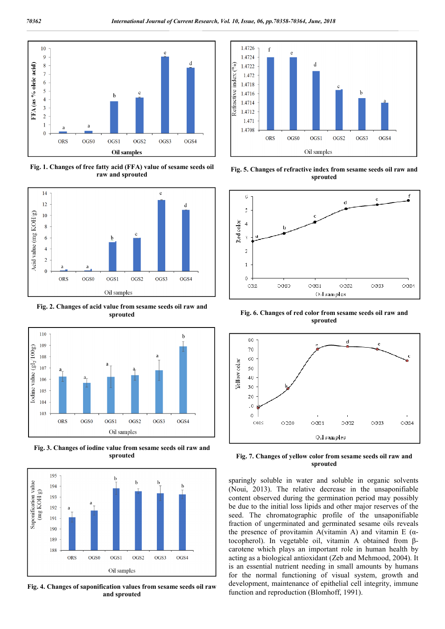

**Fig. 1. Changes of free fatty acid (FFA) value of sesame seeds oil raw and sprouted**



**Fig. 2. Changes of acid value from sesame seeds oil raw and sprouted**



**Fig. 3. Changes of iodine value from sesame seeds oil raw and sprouted**



**Fig. 4. Changes of saponification values from sesame seeds oil raw and sprouted**



**Fig. 5. Changes of refractive index from sesame seeds oil raw and sprouted**



**Fig. 6. Changes of red color from sesame seeds oil raw and sprouted**



**Fig. 7. Changes of yellow color from sesame seeds oil raw and sprouted**

sparingly soluble in water and soluble in organic solvents (Noui, 2013). The relative decrease in the unsaponifiable content observed during the germination period may possibly be due to the initial loss lipids and other major reserves of the seed. The chromatographic profile of the unsaponifiable fraction of ungerminated and germinated sesame oils reveals the presence of provitamin A(vitamin A) and vitamin E ( $α$ tocopherol). In vegetable oil, vitamin A obtained from βcarotene which plays an important role in human health by acting as a biological antioxidant (Zeb and Mehmood, 2004). It is an essential nutrient needing in small amounts by humans for the normal functioning of visual system, growth and development, maintenance of epithelial cell integrity, immune function and reproduction (Blomhoff, 1991).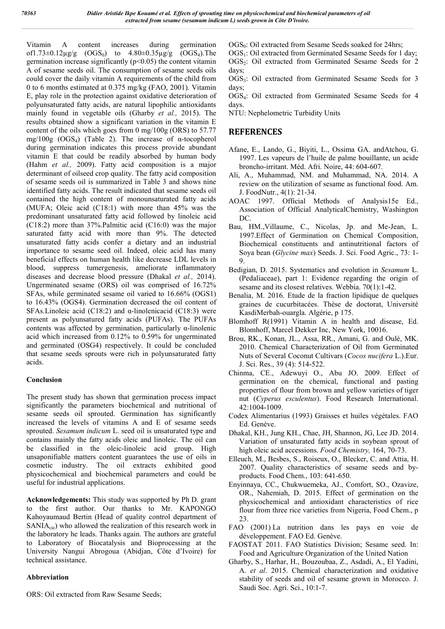Vitamin A content increases during germination of1.73±0.12 $\mu$ g/g (OGS<sub>0</sub>) to 4.80±0.35 $\mu$ g/g (OGS<sub>4</sub>).The germination increase significantly  $(p<0.05)$  the content vitamin A of sesame seeds oil. The consumption of sesame seeds oils could cover the daily vitamin A requirements of the child from 0 to 6 months estimated at 0.375 mg/kg (FAO, 2001). Vitamin E, play role in the protection against oxidative deterioration of polyunsaturated fatty acids, are natural lipophilic antioxidants mainly found in vegetable oils (Gharby *et al.,* 2015). The results obtained show a significant variation in the vitamin E content of the oils which goes from 0 mg/100g (ORS) to 57.77 mg/100g (OGS<sub>4</sub>) (Table 2). The increase of  $\alpha$ -tocopherol during germination indicates this process provide abundant vitamin E that could be readily absorbed by human body (Hahm *et al.,* 2009). Fatty acid composition is a major determinant of oilseed crop quality. The fatty acid composition of sesame seeds oil is summarized in Table 3 and shows nine identified fatty acids. The result indicated that sesame seeds oil contained the high content of monounsaturated fatty acids (MUFA; Oleic acid (C18:1) with more than 45% was the predominant unsaturated fatty acid followed by linoleic acid (C18:2) more than 37%.Palmitic acid (C16:0) was the major saturated fatty acid with more than 9%. The detected unsaturated fatty acids confer a dietary and an industrial importance to sesame seed oil. Indeed, oleic acid has many beneficial effects on human health like decrease LDL levels in blood, suppress tumergenesis, ameliorate inflammatory diseases and decrease blood pressure (Dhakal *et al.,* 2014). Ungerminated sesame (ORS) oil was comprised of 16.72% SFAs, while germinated sesame oil varied to 16.66% (OGS1) to 16.43% (OGS4). Germination decreased the oil content of SFAs.Linoleic acid (C18:2) and  $\alpha$ -linolenicacid (C18:3) were present as polyunsatured fatty acids (PUFAs). The PUFAs contents was affected by germination, particularly  $\alpha$ -linolenic acid which increased from 0.12% to 0.59% for ungerminated and germinated (OSG4) respectively. It could be concluded that sesame seeds sprouts were rich in polyunsaturated fatty acids.

#### **Conclusion**

The present study has shown that germination process impact significantly the parameters biochemical and nutritional of sesame seeds oil sprouted. Germination has significantly increased the levels of vitamins A and E of sesame seeds sprouted. *Sesamum indicum* L. seed oil is unsaturated type and contains mainly the fatty acids oleic and linoleic. The oil can be classified in the oleic-linoleic acid group. High unsaponifiable matters content guarantees the use of oils in cosmetic industry. The oil extracts exhibited good physicochemical and biochemical parameters and could be useful for industrial applications.

**Acknowledgements:** This study was supported by Ph D. grant to the first author. Our thanks to Mr. KAPONGO Kahoyaumaud Bertin (Head of quality control department of  $SANIA<sub>cie</sub>$ ) who allowed the realization of this research work in the laboratory he leads. Thanks again. The authors are grateful to Laboratory of Biocatalysis and Bioprocessing at the University Nangui Abrogoua (Abidjan, Côte d'Ivoire) for technical assistance.

#### **Abbreviation**

 $OGS<sub>0</sub>$ : Oil extracted from Sesame Seeds soaked for 24hrs;

OGS<sub>1</sub>: Oil extracted from Germinated Sesame Seeds for 1 day; OGS<sub>2</sub>: Oil extracted from Germinated Sesame Seeds for 2 days;

 $OGS<sub>3</sub>$ : Oil extracted from Germinated Sesame Seeds for 3 days;

OGS4: Oil extracted from Germinated Sesame Seeds for 4 days.

NTU: Nephelometric Turbidity Units

### **REFERENCES**

- Afane, E., Lando, G., Biyiti, L., Ossima GA. andAtchou, G. 1997. Les vapeurs de l'huile de palme bouillante, un acide broncho-irritant. Méd. Afri. Noire, 44: 604-607.
- Ali, A., Muhammad, NM. and Muhammad, NA. 2014. A review on the utilization of sesame as functional food. Am. J. FoodNutr., 4(1): 21-34.
- AOAC 1997. Official Methods of Analysis15e Ed., Association of Official AnalyticalChemistry, Washington DC.
- Bau, HM.,Villaume, C., Nicolas, Jp. and Me-Jean, L. 1997.Effect of Germination on Chemical Composition, Biochemical constituents and antinutritional factors of Soya bean (*Glycine max*) Seeds. J. Sci. Food Agric., 73: 1- 9.
- Bedigian, D. 2015. Systematics and evolution in *Sesamum* L. (Pedaliaceae), part 1: Evidence regarding the origin of sesame and its closest relatives. Webbia. 70(1):1-42.
- Benalia, M. 2016. Etude de la fraction lipidique de quelques graines de cucurbitacées. Thèse de doctorat, Université KasdiMerbah-ouargla. Algérie, p 175.
- Blomhoff R(1991) Vitamin A in health and disease, Ed. Blomhoff, Marcel Dekker Inc, New York, 10016.
- Brou, RK., Konan, JL., Assa, RR., Amani, G. and Oulé, MK. 2010. Chemical Characterization of Oil from Germinated Nuts of Several Coconut Cultivars (*Cocos nucifera* L.).Eur. J. Sci. Res., 39 (4): 514-522.
- Chinma, CE., Adewuyi O., Abu JO. 2009. Effect of germination on the chemical, functional and pasting properties of flour from brown and yellow varieties of tiger nut (*Cyperus esculentus*). Food Research International. 42:1004-1009.
- Codex Alimentarius (1993) Graisses et huiles végétales. FAO Ed. Genève.
- Dhakal, KH., Jung KH., Chae, JH, Shannon, JG, Lee JD. 2014. Variation of unsaturated fatty acids in soybean sprout of high oleic acid accessions. *Food Chemistry,* 164, 70-73.
- Elleuch, M., Besbes, S., Roiseux, O., Blecker, C. and Attia, H. 2007. Quality characteristics of sesame seeds and byproducts. Food Chem., 103: 641-650.
- Enyinnaya, CC., Chukwuemeka, AJ., Comfort, SO., Ozavize, OR., Nahemiah, D. 2015. Effect of germination on the physicochemical and antioxidant characteristics of rice flour from three rice varieties from Nigeria, Food Chem., p 23.
- FAO (2001) La nutrition dans les pays en voie de développement. FAO Ed. Genève.
- FAOSTAT 2011. FAO Statistics Division; Sesame seed. In: Food and Agriculture Organization of the United Nation
- Gharby, S., Harhar, H., Bouzoubaa, Z., Asdadi, A., El Yadini, A. *et al*. 2015. Chemical characterization and oxidative stability of seeds and oil of sesame grown in Morocco. J. Saudi Soc. Agri. Sci., 10:1-7.